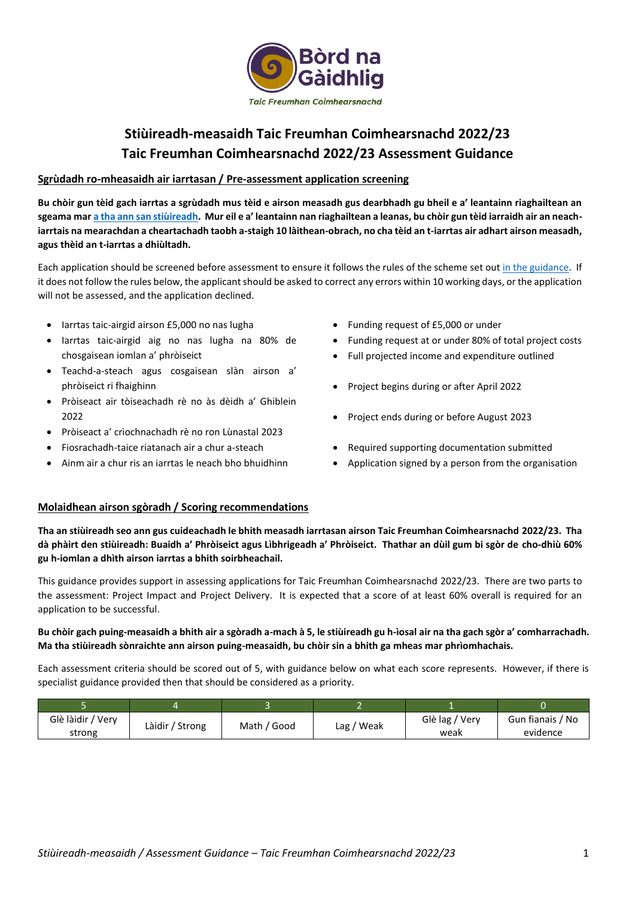

# **Stiùireadh-measaidh Taic Freumhan Coimhearsnachd 2022/23 Taic Freumhan Coimhearsnachd 2022/23 Assessment Guidance**

### **Sgrùdadh ro-mheasaidh air iarrtasan / Pre-assessment application screening**

**Bu chòir gun tèid gach iarrtas a sgrùdadh mus tèid e airson measadh gus dearbhadh gu bheil e a' leantainn riaghailtean an sgeama ma[r a tha ann san stiùireadh](https://www.gaidhlig.scot/wp-content/uploads/2021/11/stiuireadh-tfc-2022-23.pdf). Mur eil e a' leantainn nan riaghailtean a leanas, bu chòir gun tèid iarraidh air an neachiarrtais na mearachdan a cheartachadh taobh a-staigh 10 làithean-obrach, no cha tèid an t-iarrtas air adhart airson measadh, agus thèid an t-iarrtas a dhiùltadh.**

Each application should be screened before assessment to ensure it follows the rules of the scheme set ou[t in the guidance.](https://www.gaidhlig.scot/wp-content/uploads/2021/11/stiuireadh-tfc-2022-23.pdf) If it does not follow the rules below, the applicant should be asked to correct any errors within 10 working days, or the application will not be assessed, and the application declined.

- Iarrtas taic-airgid airson £5,000 no nas lugha
- Iarrtas taic-airgid aig no nas lugha na 80% de chosgaisean iomlan a' phròiseict
- Teachd-a-steach agus cosgaisean slàn airson a' phròiseict ri fhaighinn
- Pròiseact air tòiseachadh rè no às dèidh a' Ghiblein 2022
- Pròiseact a' crìochnachadh rè no ron Lùnastal 2023
- Fiosrachadh-taice riatanach air a chur a-steach
- Ainm air a chur ris an iarrtas le neach bho bhuidhinn
- Funding request of £5,000 or under
- Funding request at or under 80% of total project costs
- Full projected income and expenditure outlined
- Project begins during or after April 2022
- Project ends during or before August 2023
- Required supporting documentation submitted
- Application signed by a person from the organisation

### **Molaidhean airson sgòradh / Scoring recommendations**

**Tha an stiùireadh seo ann gus cuideachadh le bhith measadh iarrtasan airson Taic Freumhan Coimhearsnachd 2022/23. Tha dà phàirt den stiùireadh: Buaidh a' Phròiseict agus Lìbhrigeadh a' Phròiseict. Thathar an dùil gum bi sgòr de cho-dhiù 60% gu h-iomlan a dhìth airson iarrtas a bhith soirbheachail.**

This guidance provides support in assessing applications for Taic Freumhan Coimhearsnachd 2022/23. There are two parts to the assessment: Project Impact and Project Delivery. It is expected that a score of at least 60% overall is required for an application to be successful.

### **Bu chòir gach puing-measaidh a bhith air a sgòradh a-mach à 5, le stiùireadh gu h-ìosal air na tha gach sgòr a' comharrachadh. Ma tha stiùireadh sònraichte ann airson puing-measaidh, bu chòir sin a bhith ga mheas mar phrìomhachais.**

Each assessment criteria should be scored out of 5, with guidance below on what each score represents. However, if there is specialist guidance provided then that should be considered as a priority.

| Glè làidir / Very<br>strong | Làidir / Strong | Math / Good | Lag / Weak | Glè lag / Very<br>weak | Gun fianais / No<br>evidence |
|-----------------------------|-----------------|-------------|------------|------------------------|------------------------------|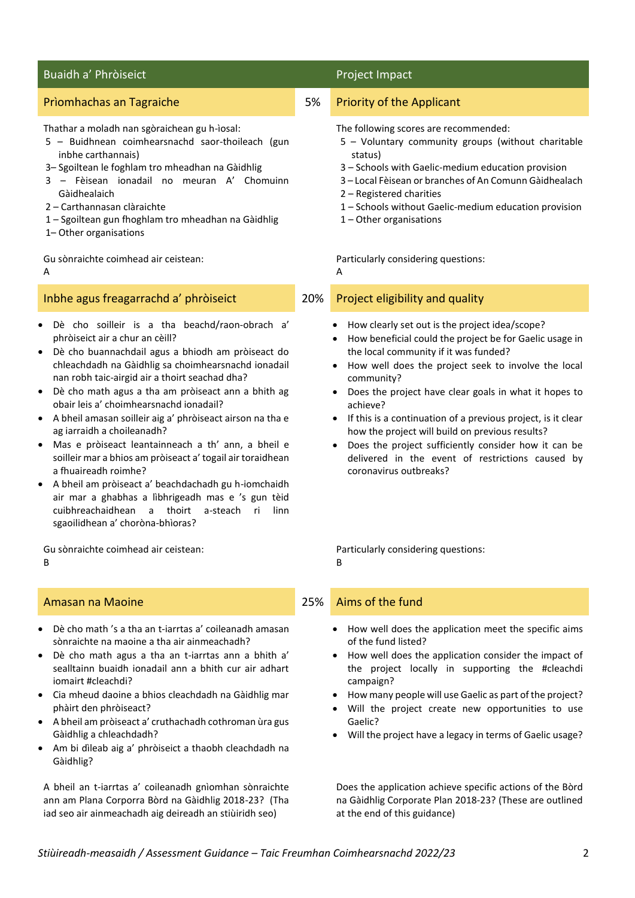# Buaidh a' Phròiseict **Project Impact** Project Impact

### Thathar a moladh nan sgòraichean gu h-ìosal:

- 5 Buidhnean coimhearsnachd saor-thoileach (gun inbhe carthannais)
- 3– Sgoiltean le foghlam tro mheadhan na Gàidhlig
- 3 Fèisean ionadail no meuran A' Chomuinn Gàidhealaich
- 2 Carthannasan clàraichte
- 1 Sgoiltean gun fhoghlam tro mheadhan na Gàidhlig
- 1– Other organisations

Gu sònraichte coimhead air ceistean:

A

# Inbhe agus freagarrachd a' phròiseict 20% Project eligibility and quality

- Dè cho soilleir is a tha beachd/raon-obrach a' phròiseict air a chur an cèill?
- Dè cho buannachdail agus a bhiodh am pròiseact do chleachdadh na Gàidhlig sa choimhearsnachd ionadail nan robh taic-airgid air a thoirt seachad dha?
- Dè cho math agus a tha am pròiseact ann a bhith ag obair leis a' choimhearsnachd ionadail?
- A bheil amasan soilleir aig a' phròiseact airson na tha e ag iarraidh a choileanadh?
- Mas e pròiseact leantainneach a th' ann, a bheil e soilleir mar a bhios am pròiseact a' togail air toraidhean a fhuaireadh roimhe?
- A bheil am pròiseact a' beachdachadh gu h-iomchaidh air mar a ghabhas a lìbhrigeadh mas e 's gun tèid cuibhreachaidhean a thoirt a-steach ri linn sgaoilidhean a' choròna-bhìoras?

Gu sònraichte coimhead air ceistean: B

- Dè cho math 's a tha an t-iarrtas a' coileanadh amasan sònraichte na maoine a tha air ainmeachadh?
- Dè cho math agus a tha an t-iarrtas ann a bhith a' sealltainn buaidh ionadail ann a bhith cur air adhart iomairt #cleachdi?
- Cia mheud daoine a bhios cleachdadh na Gàidhlig mar phàirt den phròiseact?
- A bheil am pròiseact a' cruthachadh cothroman ùra gus Gàidhlig a chleachdadh?
- Am bi dìleab aig a' phròiseict a thaobh cleachdadh na Gàidhlig?

A bheil an t-iarrtas a' coileanadh gnìomhan sònraichte ann am Plana Corporra Bòrd na Gàidhlig 2018-23? (Tha iad seo air ainmeachadh aig deireadh an stiùiridh seo)

## Prìomhachas an Tagraiche 6 ann an t-S an East an S an East an East an East an East an East an East an East an

- The following scores are recommended:
- 5 Voluntary community groups (without charitable status)
- 3 Schools with Gaelic-medium education provision
- 3 Local Fèisean or branches of An Comunn Gàidhealach
- 2 Registered charities
- 1 Schools without Gaelic-medium education provision
- 1 Other organisations

Particularly considering questions:

A

- How clearly set out is the project idea/scope?
- How beneficial could the project be for Gaelic usage in the local community if it was funded?
- How well does the project seek to involve the local community?
- Does the project have clear goals in what it hopes to achieve?
- If this is a continuation of a previous project, is it clear how the project will build on previous results?
- Does the project sufficiently consider how it can be delivered in the event of restrictions caused by coronavirus outbreaks?

Particularly considering questions: B

# Amasan na Maoine 25% Aims of the fund

- How well does the application meet the specific aims of the fund listed?
- How well does the application consider the impact of the project locally in supporting the #cleachdi campaign?
- How many people will use Gaelic as part of the project?
- Will the project create new opportunities to use Gaelic?
- Will the project have a legacy in terms of Gaelic usage?

Does the application achieve specific actions of the Bòrd na Gàidhlig Corporate Plan 2018-23? (These are outlined at the end of this guidance)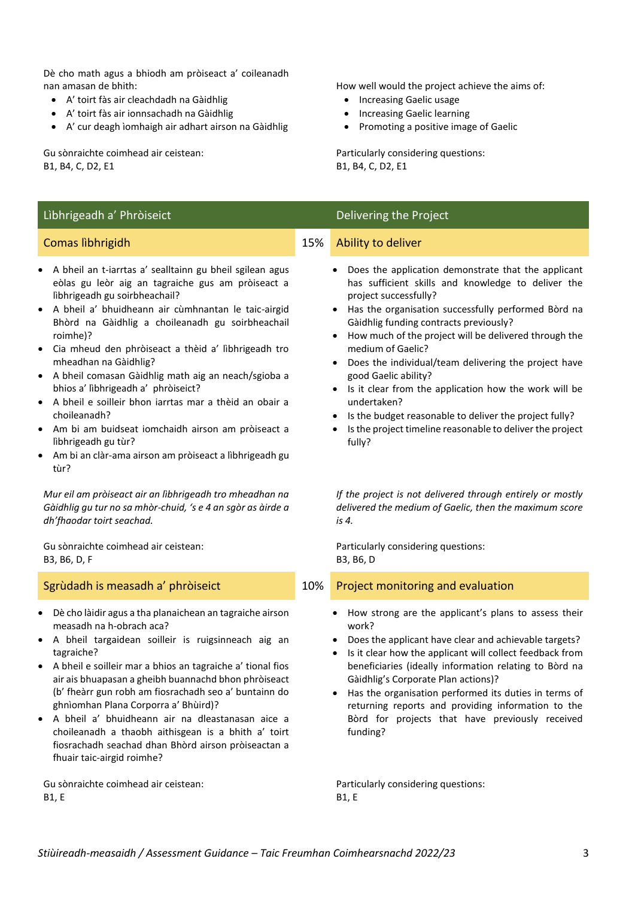Dè cho math agus a bhiodh am pròiseact a' coileanadh nan amasan de bhith:

- A' toirt fàs air cleachdadh na Gàidhlig
- A' toirt fàs air ionnsachadh na Gàidhlig
- A' cur deagh ìomhaigh air adhart airson na Gàidhlig

Gu sònraichte coimhead air ceistean: B1, B4, C, D2, E1

## Lìbhrigeadh a' Phròiseict **Delivering the Project** Delivering the Project

- A bheil an t-iarrtas a' sealltainn gu bheil sgilean agus eòlas gu leòr aig an tagraiche gus am pròiseact a lìbhrigeadh gu soirbheachail?
- A bheil a' bhuidheann air cùmhnantan le taic-airgid Bhòrd na Gàidhlig a choileanadh gu soirbheachail roimhe)?
- Cia mheud den phròiseact a thèid a' lìbhrigeadh tro mheadhan na Gàidhlig?
- A bheil comasan Gàidhlig math aig an neach/sgioba a bhios a' lìbhrigeadh a' phròiseict?
- A bheil e soilleir bhon iarrtas mar a thèid an obair a choileanadh?
- Am bi am buidseat iomchaidh airson am pròiseact a lìbhrigeadh gu tùr?
- Am bi an clàr-ama airson am pròiseact a lìbhrigeadh gu tùr?

*Mur eil am pròiseact air an lìbhrigeadh tro mheadhan na Gàidhlig gu tur no sa mhòr-chuid, 's e 4 an sgòr as àirde a dh'fhaodar toirt seachad.*

Gu sònraichte coimhead air ceistean: B3, B6, D, F

- Dè cho làidir agus a tha planaichean an tagraiche airson measadh na h-obrach aca?
- A bheil targaidean soilleir is ruigsinneach aig an tagraiche?
- A bheil e soilleir mar a bhios an tagraiche a' tional fios air ais bhuapasan a gheibh buannachd bhon phròiseact (b' fheàrr gun robh am fiosrachadh seo a' buntainn do ghnìomhan Plana Corporra a' Bhùird)?
- A bheil a' bhuidheann air na dleastanasan aice a choileanadh a thaobh aithisgean is a bhith a' toirt fiosrachadh seachad dhan Bhòrd airson pròiseactan a fhuair taic-airgid roimhe?

Gu sònraichte coimhead air ceistean: B1, E

How well would the project achieve the aims of:

- Increasing Gaelic usage
- Increasing Gaelic learning
- Promoting a positive image of Gaelic

Particularly considering questions: B1, B4, C, D2, E1

### **Comas lìbhrigidh 15% Ability to deliver**

- Does the application demonstrate that the applicant has sufficient skills and knowledge to deliver the project successfully?
- Has the organisation successfully performed Bòrd na Gàidhlig funding contracts previously?
- How much of the project will be delivered through the medium of Gaelic?
- Does the individual/team delivering the project have good Gaelic ability?
- Is it clear from the application how the work will be undertaken?
- Is the budget reasonable to deliver the project fully?
- Is the project timeline reasonable to deliver the project fully?

*If the project is not delivered through entirely or mostly delivered the medium of Gaelic, then the maximum score is 4.*

Particularly considering questions: B3, B6, D

### Sgrùdadh is measadh a' phròiseict 10% Project monitoring and evaluation

- How strong are the applicant's plans to assess their work?
- Does the applicant have clear and achievable targets?
- Is it clear how the applicant will collect feedback from beneficiaries (ideally information relating to Bòrd na Gàidhlig's Corporate Plan actions)?
- Has the organisation performed its duties in terms of returning reports and providing information to the Bòrd for projects that have previously received funding?

Particularly considering questions: B1, E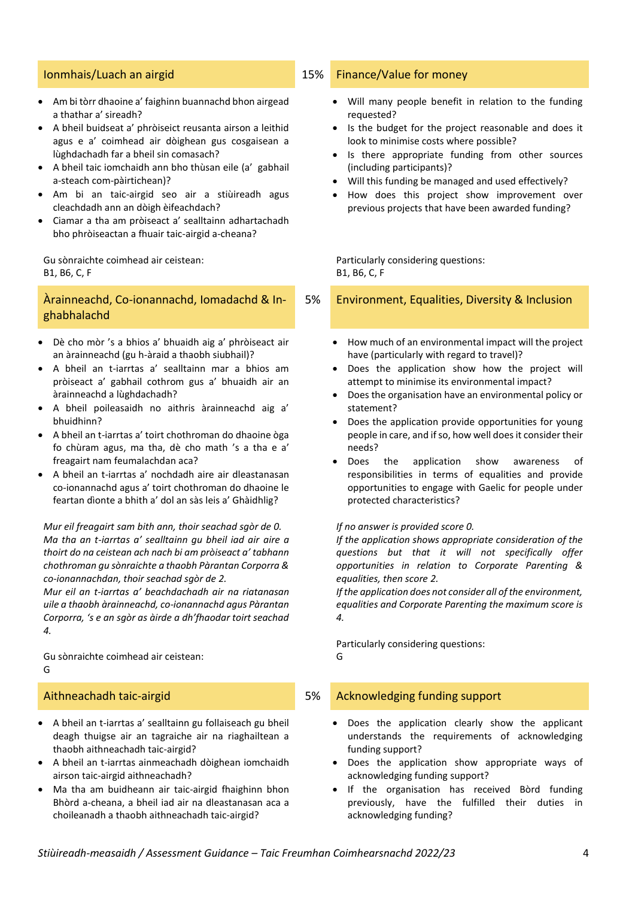- Am bi tòrr dhaoine a' faighinn buannachd bhon airgead a thathar a' sireadh?
- A bheil buidseat a' phròiseict reusanta airson a leithid agus e a' coimhead air dòighean gus cosgaisean a lùghdachadh far a bheil sin comasach?
- A bheil taic iomchaidh ann bho thùsan eile (a' gabhail a-steach com-pàirtichean)?
- Am bi an taic-airgid seo air a stiùireadh agus cleachdadh ann an dòigh èifeachdach?
- Ciamar a tha am pròiseact a' sealltainn adhartachadh bho phròiseactan a fhuair taic-airgid a-cheana?

Gu sònraichte coimhead air ceistean: B1, B6, C, F

## Àrainneachd, Co-ionannachd, Iomadachd & Inghabhalachd

- Dè cho mòr 's a bhios a' bhuaidh aig a' phròiseact air an àrainneachd (gu h-àraid a thaobh siubhail)?
- A bheil an t-iarrtas a' sealltainn mar a bhios am pròiseact a' gabhail cothrom gus a' bhuaidh air an àrainneachd a lùghdachadh?
- A bheil poileasaidh no aithris àrainneachd aig a' bhuidhinn?
- A bheil an t-iarrtas a' toirt chothroman do dhaoine òga fo chùram agus, ma tha, dè cho math 's a tha e a' freagairt nam feumalachdan aca?
- A bheil an t-iarrtas a' nochdadh aire air dleastanasan co-ionannachd agus a' toirt chothroman do dhaoine le feartan dìonte a bhith a' dol an sàs leis a' Ghàidhlig?

*Mur eil freagairt sam bith ann, thoir seachad sgòr de 0. Ma tha an t-iarrtas a' sealltainn gu bheil iad air aire a thoirt do na ceistean ach nach bi am pròiseact a' tabhann chothroman gu sònraichte a thaobh Pàrantan Corporra & co-ionannachdan, thoir seachad sgòr de 2.*

*Mur eil an t-iarrtas a' beachdachadh air na riatanasan uile a thaobh àrainneachd, co-ionannachd agus Pàrantan Corporra, 's e an sgòr as àirde a dh'fhaodar toirt seachad 4.*

Gu sònraichte coimhead air ceistean: G

- A bheil an t-iarrtas a' sealltainn gu follaiseach gu bheil deagh thuigse air an tagraiche air na riaghailtean a thaobh aithneachadh taic-airgid?
- A bheil an t-iarrtas ainmeachadh dòighean iomchaidh airson taic-airgid aithneachadh?
- Ma tha am buidheann air taic-airgid fhaighinn bhon Bhòrd a-cheana, a bheil iad air na dleastanasan aca a choileanadh a thaobh aithneachadh taic-airgid?

### Ionmhais/Luach an airgid 15% Finance/Value for money

- Will many people benefit in relation to the funding requested?
- Is the budget for the project reasonable and does it look to minimise costs where possible?
- Is there appropriate funding from other sources (including participants)?
- Will this funding be managed and used effectively?
- How does this project show improvement over previous projects that have been awarded funding?

Particularly considering questions: B1, B6, C, F

5% Environment, Equalities, Diversity & Inclusion

- How much of an environmental impact will the project have (particularly with regard to travel)?
- Does the application show how the project will attempt to minimise its environmental impact?
- Does the organisation have an environmental policy or statement?
- Does the application provide opportunities for young people in care, and if so, how well does it consider their needs?
- Does the application show awareness of responsibilities in terms of equalities and provide opportunities to engage with Gaelic for people under protected characteristics?

### *If no answer is provided score 0.*

*If the application shows appropriate consideration of the questions but that it will not specifically offer opportunities in relation to Corporate Parenting & equalities, then score 2.*

*If the application does not consider all of the environment, equalities and Corporate Parenting the maximum score is 4.*

Particularly considering questions: G

### Aithneachadh taic-airgid 5% Acknowledging funding support

- Does the application clearly show the applicant understands the requirements of acknowledging funding support?
- Does the application show appropriate ways of acknowledging funding support?
- If the organisation has received Bòrd funding previously, have the fulfilled their duties in acknowledging funding?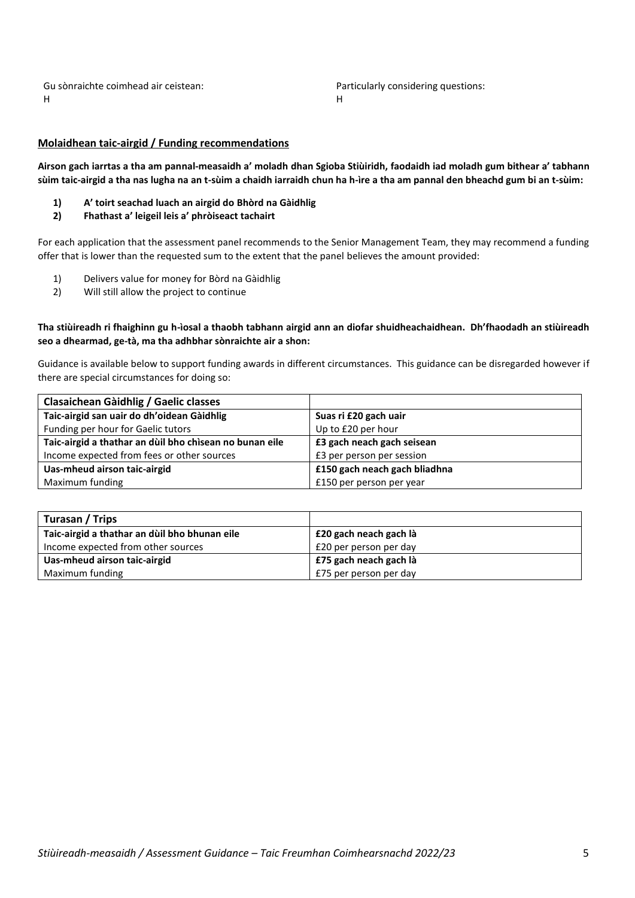Gu sònraichte coimhead air ceistean: H

Particularly considering questions: H

### **Molaidhean taic-airgid / Funding recommendations**

**Airson gach iarrtas a tha am pannal-measaidh a' moladh dhan Sgioba Stiùiridh, faodaidh iad moladh gum bithear a' tabhann sùim taic-airgid a tha nas lugha na an t-sùim a chaidh iarraidh chun ha h-ìre a tha am pannal den bheachd gum bi an t-sùim:**

- **1) A' toirt seachad luach an airgid do Bhòrd na Gàidhlig**
- **2) Fhathast a' leigeil leis a' phròiseact tachairt**

For each application that the assessment panel recommends to the Senior Management Team, they may recommend a funding offer that is lower than the requested sum to the extent that the panel believes the amount provided:

- 1) Delivers value for money for Bòrd na Gàidhlig
- 2) Will still allow the project to continue

### **Tha stiùireadh ri fhaighinn gu h-ìosal a thaobh tabhann airgid ann an diofar shuidheachaidhean. Dh'fhaodadh an stiùireadh seo a dhearmad, ge-tà, ma tha adhbhar sònraichte air a shon:**

Guidance is available below to support funding awards in different circumstances. This guidance can be disregarded however if there are special circumstances for doing so:

| Clasaichean Gàidhlig / Gaelic classes                   |                               |
|---------------------------------------------------------|-------------------------------|
| Taic-airgid san uair do dh'oidean Gàidhlig              | Suas ri £20 gach uair         |
| Funding per hour for Gaelic tutors                      | Up to £20 per hour            |
| Taic-airgid a thathar an dùil bho chìsean no bunan eile | £3 gach neach gach seisean    |
| Income expected from fees or other sources              | £3 per person per session     |
| Uas-mheud airson taic-airgid                            | £150 gach neach gach bliadhna |
| Maximum funding                                         | £150 per person per year      |

| Turasan / Trips                               |                        |
|-----------------------------------------------|------------------------|
| Taic-airgid a thathar an dùil bho bhunan eile | £20 gach neach gach là |
| Income expected from other sources            | £20 per person per day |
| Uas-mheud airson taic-airgid                  | £75 gach neach gach là |
| Maximum funding                               | £75 per person per day |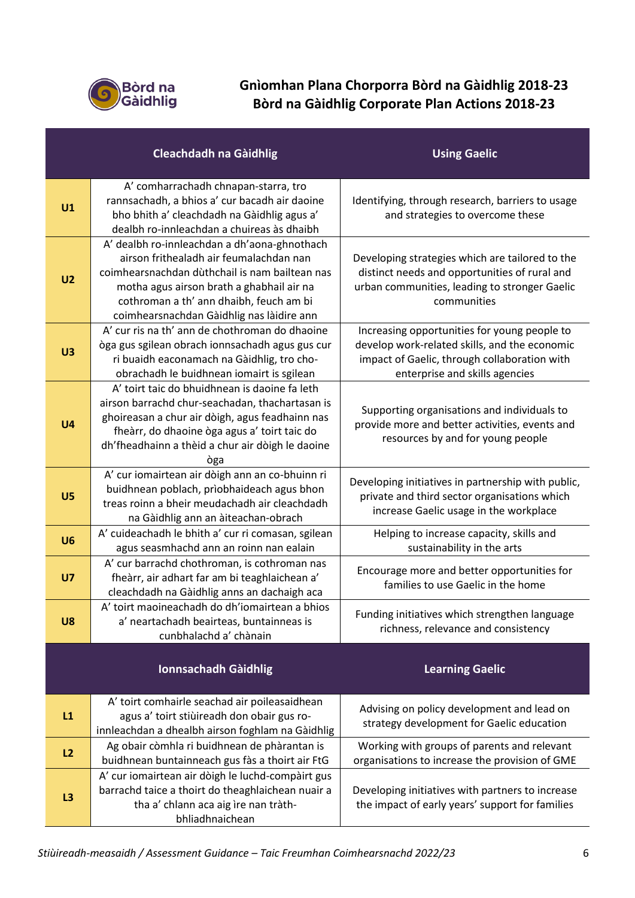

# **Gnìomhan Plana Chorporra Bòrd na Gàidhlig 2018-23 Bòrd na Gàidhlig Corporate Plan Actions 2018-23**

|                | <b>Cleachdadh na Gàidhlig</b>                                                                                                                                                                                                                                                  | <b>Using Gaelic</b>                                                                                                                                                             |
|----------------|--------------------------------------------------------------------------------------------------------------------------------------------------------------------------------------------------------------------------------------------------------------------------------|---------------------------------------------------------------------------------------------------------------------------------------------------------------------------------|
| U1             | A' comharrachadh chnapan-starra, tro<br>rannsachadh, a bhios a' cur bacadh air daoine<br>bho bhith a' cleachdadh na Gàidhlig agus a'<br>dealbh ro-innleachdan a chuireas às dhaibh                                                                                             | Identifying, through research, barriers to usage<br>and strategies to overcome these                                                                                            |
| U <sub>2</sub> | A' dealbh ro-innleachdan a dh'aona-ghnothach<br>airson frithealadh air feumalachdan nan<br>coimhearsnachdan dùthchail is nam bailtean nas<br>motha agus airson brath a ghabhail air na<br>cothroman a th' ann dhaibh, feuch am bi<br>coimhearsnachdan Gàidhlig nas làidire ann | Developing strategies which are tailored to the<br>distinct needs and opportunities of rural and<br>urban communities, leading to stronger Gaelic<br>communities                |
| U3             | A' cur ris na th' ann de chothroman do dhaoine<br>òga gus sgilean obrach ionnsachadh agus gus cur<br>ri buaidh eaconamach na Gàidhlig, tro cho-<br>obrachadh le buidhnean iomairt is sgilean                                                                                   | Increasing opportunities for young people to<br>develop work-related skills, and the economic<br>impact of Gaelic, through collaboration with<br>enterprise and skills agencies |
| U <sub>4</sub> | A' toirt taic do bhuidhnean is daoine fa leth<br>airson barrachd chur-seachadan, thachartasan is<br>ghoireasan a chur air dòigh, agus feadhainn nas<br>fheàrr, do dhaoine òga agus a' toirt taic do<br>dh'fheadhainn a thèid a chur air dòigh le daoine<br>òga                 | Supporting organisations and individuals to<br>provide more and better activities, events and<br>resources by and for young people                                              |
| U <sub>5</sub> | A' cur iomairtean air dòigh ann an co-bhuinn ri<br>buidhnean poblach, prìobhaideach agus bhon<br>treas roinn a bheir meudachadh air cleachdadh<br>na Gàidhlig ann an àiteachan-obrach                                                                                          | Developing initiatives in partnership with public,<br>private and third sector organisations which<br>increase Gaelic usage in the workplace                                    |
| U <sub>6</sub> | A' cuideachadh le bhith a' cur ri comasan, sgilean<br>agus seasmhachd ann an roinn nan ealain                                                                                                                                                                                  | Helping to increase capacity, skills and<br>sustainability in the arts                                                                                                          |
| U <sub>7</sub> | A' cur barrachd chothroman, is cothroman nas<br>fheàrr, air adhart far am bi teaghlaichean a'<br>cleachdadh na Gàidhlig anns an dachaigh aca                                                                                                                                   | Encourage more and better opportunities for<br>families to use Gaelic in the home                                                                                               |
| U8             | A' toirt maoineachadh do dh'iomairtean a bhios<br>a' neartachadh beairteas, buntainneas is<br>cunbhalachd a' chànain                                                                                                                                                           | Funding initiatives which strengthen language<br>richness, relevance and consistency                                                                                            |
|                | <b>Ionnsachadh Gàidhlig</b>                                                                                                                                                                                                                                                    | <b>Learning Gaelic</b>                                                                                                                                                          |
| L1             | A' toirt comhairle seachad air poileasaidhean<br>agus a' toirt stiùireadh don obair gus ro-<br>innleachdan a dhealbh airson foghlam na Gàidhlig                                                                                                                                | Advising on policy development and lead on<br>strategy development for Gaelic education                                                                                         |
| L2             | Ag obair còmhla ri buidhnean de phàrantan is<br>buidhnean buntainneach gus fàs a thoirt air FtG                                                                                                                                                                                | Working with groups of parents and relevant<br>organisations to increase the provision of GME                                                                                   |
| L3             | A' cur iomairtean air dòigh le luchd-compàirt gus<br>barrachd taice a thoirt do theaghlaichean nuair a<br>tha a' chlann aca aig ìre nan tràth-<br>bhliadhnaichean                                                                                                              | Developing initiatives with partners to increase<br>the impact of early years' support for families                                                                             |